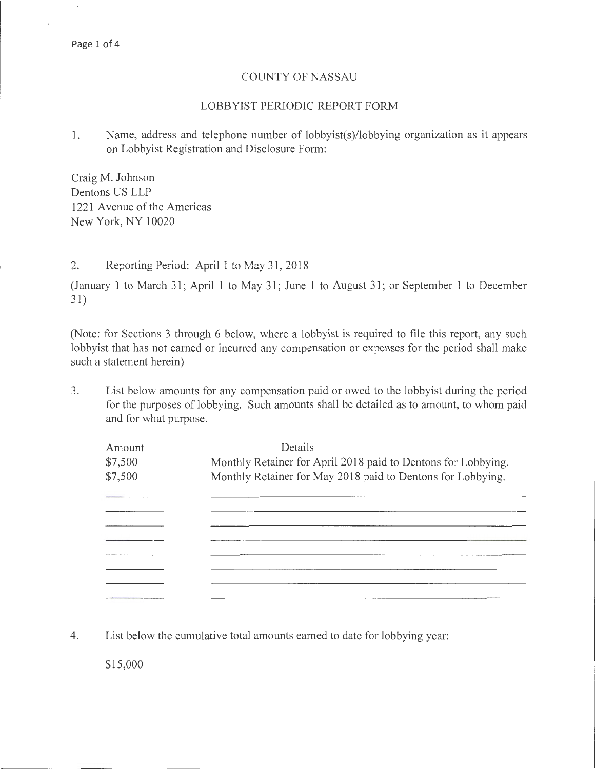#### COUNTY OF NASSAU

### LOBBYIST PERIODIC REPORT FORM

1. Name, address and telephone number of lobbyist(s)/lobbying organization as it appears on Lobbyist Registration and Disclosure Form:

Craig M. Johnson Dentons US LLP 1221 Avenue of the Americas New York, NY 10020

2. Reporting Period: April 1 to May 31, 2018

(January 1 to March 31; April 1 to May 31; June 1 to August 31; or September 1 to December 31)

(Note: for Sections 3 through 6 below, where a lobbyist is required to file this report, any such lobbyist that has not earned or incurred any compensation or expenses for the period shall make such a statement herein)

3. List below amounts for any compensation paid or owed to the lobbyist during the period for the purposes of lobbying. Such amounts shall be detailed as to amount, to whom paid and for what purpose.

| Amount                                                                   | Details                                                     |  |
|--------------------------------------------------------------------------|-------------------------------------------------------------|--|
| Monthly Retainer for April 2018 paid to Dentons for Lobbying.<br>\$7,500 |                                                             |  |
| \$7,500                                                                  | Monthly Retainer for May 2018 paid to Dentons for Lobbying. |  |
|                                                                          |                                                             |  |
|                                                                          |                                                             |  |
|                                                                          |                                                             |  |
|                                                                          |                                                             |  |
|                                                                          |                                                             |  |
|                                                                          |                                                             |  |
|                                                                          |                                                             |  |
|                                                                          |                                                             |  |

4. List below the cumulative total amounts earned to date for lobbying year:

\$15,000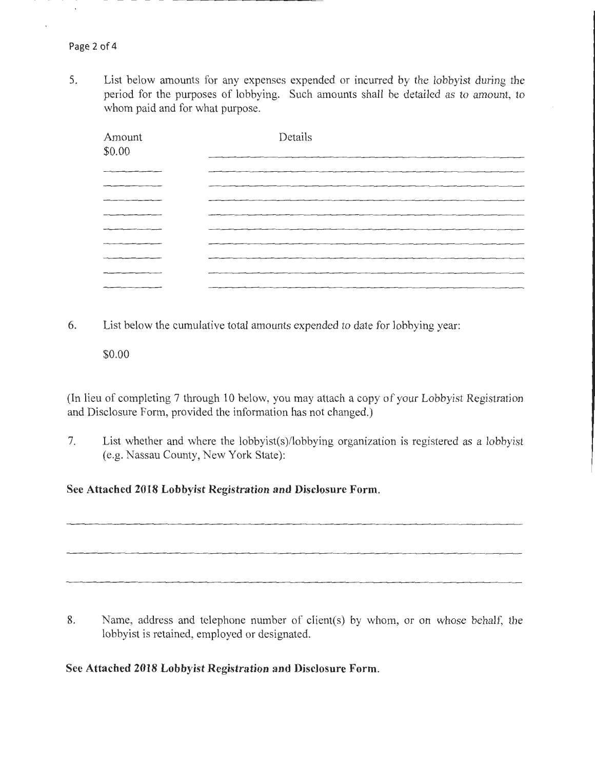5. List below amounts for any expenses expended or incurred by the lobbyist during the period for the purposes of lobbying. Such amounts shall be detailed as to amount, to whom paid and for what purpose.

| Amount<br>\$0.00 | Details<br><u> The Community of the Community of the Community of the Community of the Community of the Community of the Community of the Community of the Community of the Community of the Community of the Community of the Community of</u> |
|------------------|-------------------------------------------------------------------------------------------------------------------------------------------------------------------------------------------------------------------------------------------------|
|                  |                                                                                                                                                                                                                                                 |
|                  |                                                                                                                                                                                                                                                 |
|                  |                                                                                                                                                                                                                                                 |
|                  |                                                                                                                                                                                                                                                 |
|                  |                                                                                                                                                                                                                                                 |
|                  |                                                                                                                                                                                                                                                 |
|                  |                                                                                                                                                                                                                                                 |
|                  |                                                                                                                                                                                                                                                 |
|                  |                                                                                                                                                                                                                                                 |

- 6. List below the cumulative total amounts expended to date for lobbying year:
	- \$0.00

(In lieu of completing 7 through 10 below, you may attach a copy of your Lobbyist Registration and Disclosure Form, provided the information has not changed.)

7. List whether and where the lobbyist(s)/lobbying organization is registered as a lobbyist (e.g. Nassau County, New York State):

## **See Attached 2018 Lobbyist Registration and Disclosure Form.**

8. Name, address and telephone number of client(s) by whom, or on whose behalf, the lobbyist is retained, employed or designated.

## **See Attached 2018 Lobbyist Registration and Disclosure Form.**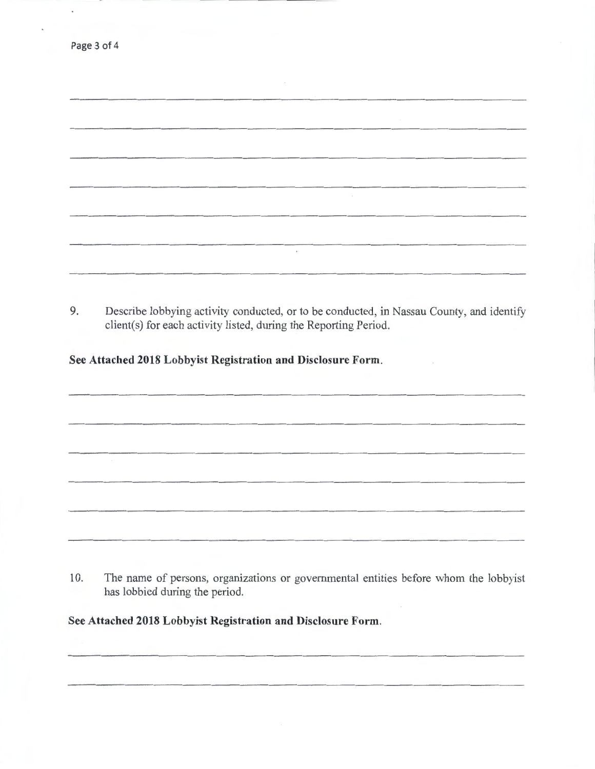|    | Page 3 of 4                                                                                                                                                  |
|----|--------------------------------------------------------------------------------------------------------------------------------------------------------------|
|    |                                                                                                                                                              |
|    |                                                                                                                                                              |
|    |                                                                                                                                                              |
|    |                                                                                                                                                              |
|    |                                                                                                                                                              |
|    |                                                                                                                                                              |
|    |                                                                                                                                                              |
|    | $\ast$                                                                                                                                                       |
|    |                                                                                                                                                              |
|    |                                                                                                                                                              |
| 9. | Describe lobbying activity conducted, or to be conducted, in Nassau County, and identify<br>client(s) for each activity listed, during the Reporting Period. |
|    | See Attached 2018 Lobbyist Registration and Disclosure Form.                                                                                                 |
|    |                                                                                                                                                              |
|    |                                                                                                                                                              |

 $\epsilon$ 

10. The name of persons, organizations or governmental entities before whom the lobbyist has lobbied during the period.

**See Attached 2018 Lobbyist Registration and Disclosure Form.**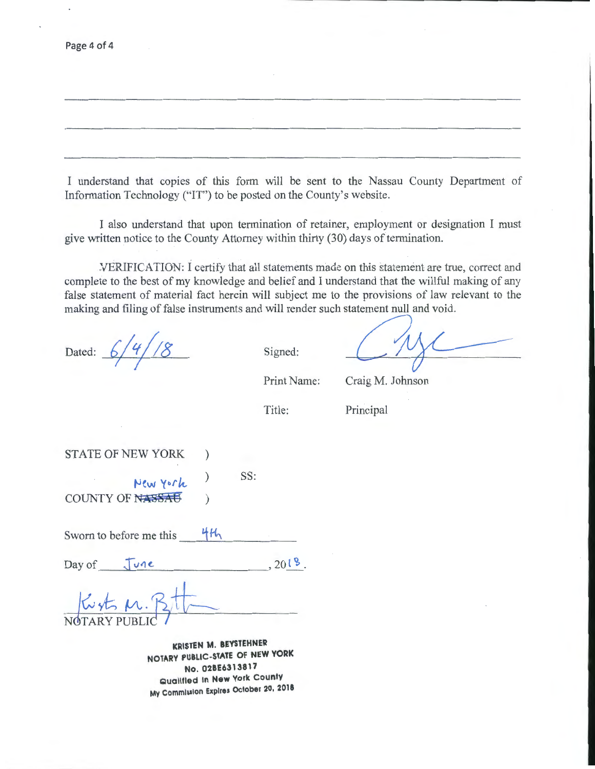| Page 4 of 4 |  |  |  |
|-------------|--|--|--|
|-------------|--|--|--|

I understand that copies of this form will be sent to the Nassau County Department of Information Technology ("IT") to be posted on the County's website.

I also understand that upon termination of retainer, employment or designation I must give written notice to the County Attorney within thirty (30) days of termination .

.VERIFICATION: I certify that all statements made on this £tatement are true, correct and complete to the best of my knowledge and belief and I understand that the willful making of any false statement of material fact herein will subject me to the provisions of law relevant to the making and filing of false instruments and will render such statement null and void.

Dated:  $6/4/18$ 

Signed:

Print Name:

Craig M. Johnson

Title:

Principal

STATE OF NEW YORK ) **t-Jew** '(~>rk ) SS:

COUNTY OF NASSAE )

Sworn to before me this  $4H_1$ 

Day of  $\int \text{vac}$ ,  $201\%$ .

**KRISTEN M. BEYSTEHNER NOTARY PUBLIC-STATE OF NEW YORK No. 02BE6313817 Qualified In New York county My Commission Expires October 20, 2018**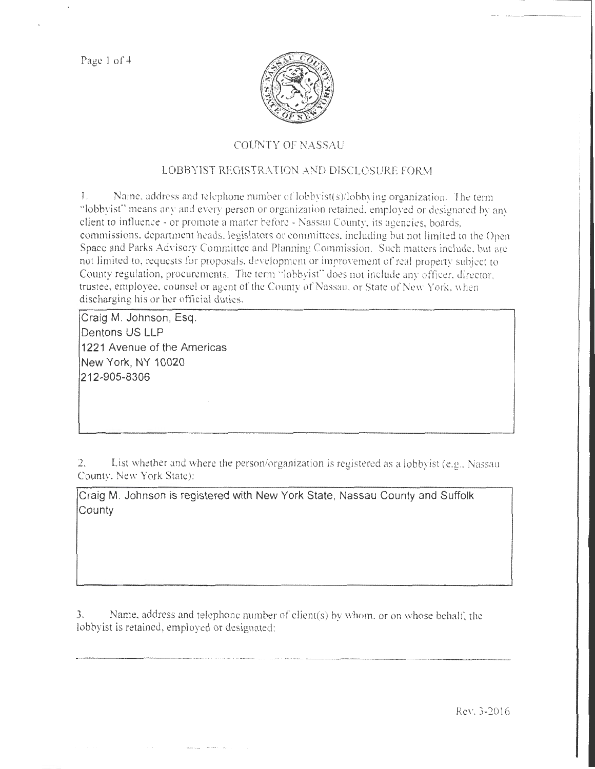Page 1 of 4



# COUNTY OF NASSAU

# LOBBYIST REGISTRATION AND DISCLOSURE FORM

1. Name, address and telephone number of  $\text{lobbyist}(s)/\text{lobbying organization}$ . The term "lobbyist" means any and every person or organization retained, employed or designated by any client to influence- or promote a matter before- Nassau County, its agencies. boards, commissions, department heads, legislators or committees, including but not limited to the Open Space and Parks AdYisory Committee and Planning Commission. Such matters include. but arc not limited to, requests for proposals, development or improvement of real property subject to County regulation, procurements. The term "lobbyist" does not include any officer, director, trustee, employee. counsel or agent of the County of Nassau. or State of New York. \\hen discharging his or her official duties.

Craig M. Johnson, Esq. Dentons US LLP 1221 Avenue of the Americas New York, NY 10020 212-905-8306

2. List whether and where the person/organization is registered as a lobbyist (e.g., Nassau County. New York State):

Craig M. Johnson is registered with New York State, Nassau County and Suffolk **County** 

*3.* Name. address and telephone number of client(s) by whom. or on whose behalt: the lobbyist is retained, employed or designated:

--------- ---.................... . --........... .. - .......... - .. . .... . \_\_\_\_\_\_\_\_\_\_\_\_\_\_\_\_\_ \_

Rev. 3-2016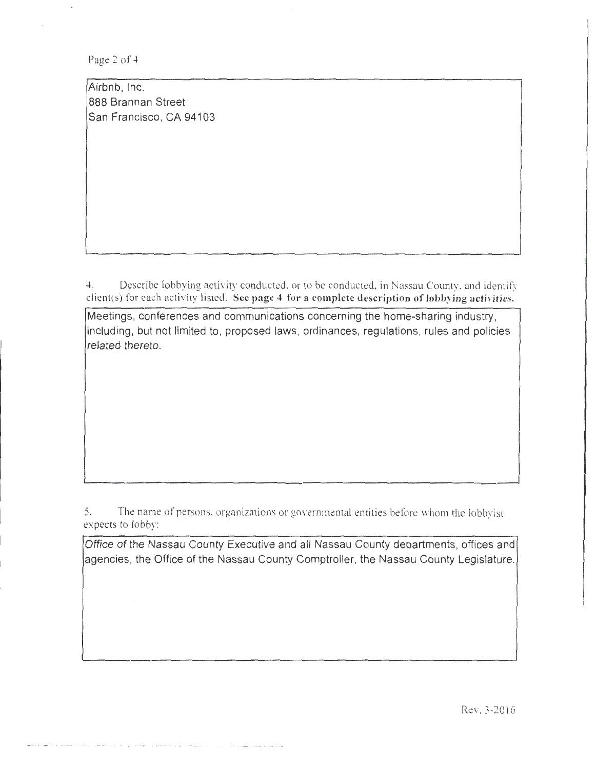Page 2 of 4

Airbnb, Inc. 888 Brannan Street San Francisco, CA 94103

4. Describe lobbying activity conducted, or to be conducted, in Nassau County, and identify client(s) for each activity listed. See page 4 for a complete description of lobbying activities.

Meetings, conferences and communications concerning the home-sharing industry, including, but not limited to, proposed laws, ordinances, regulations, rules and policies related thereto.

5. The name of persons, organizations or governmental entities before whom the lobbyist expects to lobby:

Office of the Nassau County Executive and all Nassau County departments, offices and agencies, the Office of the Nassau County Comptroller, the Nassau County Legislature.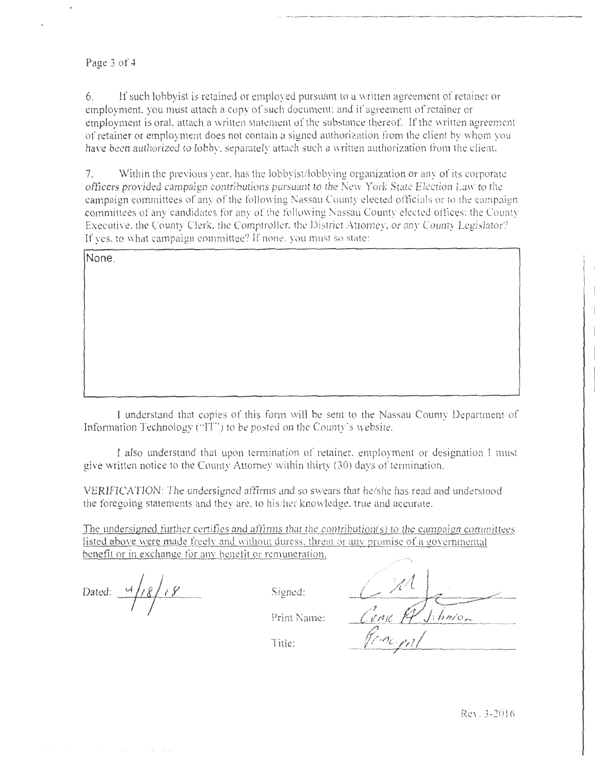#### Page 3 of 4

6. If such lobby ist is retained or employed pursuant to a written agreement of retainer or employment. you must attach a copy of such document: and if agreement of retainer or employment is oral, attach a written statement of the substance thereof. If the written agreement of retainer or employment does nor contain a signed authorization from the client by \Vhom you have been authorized to lobby, separately attach such a written authorization from the client.

7. Within the previous year, has the lobbyist/lobbying organization or any or its corporate officers provided campaign contributions pursuant to the New York State Election La\\· to the campaign committees of any of the following Nassau County elected officials or to the campaign committees of any candidates for any of the following Nassau County elected offices: the County Executive. the County Clerk, the Comptroller. the District Attorney, or any Coumy Legislator'? If yes, to what campaign committee? If none, you must so state:

**None.** 

I understand thnt copies of this form will be sent to the Nassau County Department or Information Technology ("IT") to be posted on the County's website.

l also understand that upon termination of retainer. employment or designation I must give written notice to the County Attorney within thirty (30) days of termination.

VERIFICATION: The undersigned affirms and so swears that he/she has read and understood the foregoing statements and they are. to his/her knowledge. true and accurate.

The undersigned further certifies and affirms that the contribution(s) to the campaign committees listed above were made freely and without duress, threat or any promise of a governmental benefit or in exchange for any benefit or remuneration.

Dated:  $\frac{4}{18}$   $\frac{18}{18}$ 

Print Name:

Title: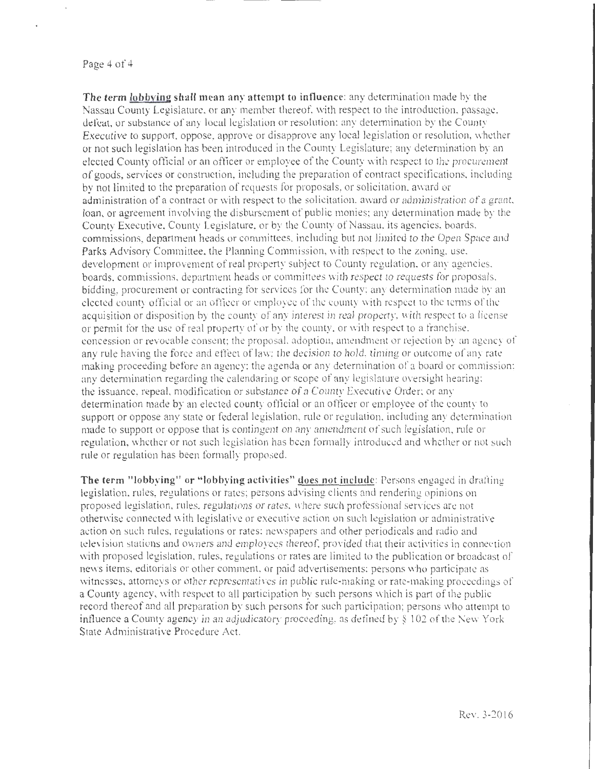#### Page 4 of 4

**The term lobbying shall mean anr attempt to influence:** any determination made by the Nassau County Legislature. or any member thereof. with respect to the introduction. passage, defeat, or substance of any local legislation or resolution; any determination by the County Executive to support, oppose, approve or disapprove any local legislation or resolution, whether or not such legislation has been introduced in the County Legislature; any determination by an elected County official or an ofticer or employee of the County vvith respect to the procurement of goods, services or construction, including the preparation of contract specifications, including by not limited to the preparation of requests for proposals, or solicitation, award or administration of a contract or with respect to the solicitation. award or administration of a grant. loan. or agreement involving the disbursement of public monies; any determination made by the County Executive, County Legislature, or by the County of Nassau. its agencies, boards. commissions, department heads or committees. including but not limited to the Open Space and Parks Advisory Committee. the Planning Commission. with respect to the zoning, use. developmem or improvement of real property subject to County regulation. or any agencies. boards. commissions, department heads or committees \.Vith respect to requests for proposals. bidding, procurement or contracting for services for the County: any determination made by an elected county official or an ofticcr or employee of the county with respect *w* the terms ol'thc acquisition or disposition by the county of any interest in real property, with respect to a license or permit for the use of real property of or by the county, or with respect to a franchise. concession or revocable consent; the proposal. ndoptiou, amendment or rejection by an agency of any rule having the force and effect of law; the decision to hold, timing or outcome of any rate making proceeding before an agency: the agenda or any determination of a board or commission; any determination regarding the calendaring or scope of any legislature oversight hearing; the issuance, repeal, modification or substance of a County Executive Order: or any determination made by an elected county oflicial or an oftlcer or employee of the county to support or oppose any state or federal legislation, rule or regulation. including any determination made to support or oppose that is contingent on any amendment of such legislation, rule or regulation, whether or not such legislation has been formally introduced and whether or not such rule or regulation has been formally proposed.

**The term "lobbying" or "lobbying activities"** does **not include:** Persons engaged in drafting legislation. rules, regulations or rates; persons advising clients and rendering opinions on proposed legislation, rules. regulations or rates. where such protessional sen·ices are not otherv;ise connected with legislative or executive action on such legislation or administrative action on such rules, regulations or rates: newspapers and other periodicals and radio and television stations and owners and employees thereof, provided that their activities in connection with proposed legislation, rules, regulations or rates are limited to the publication or broadcast of news items, editorials or other comment. or paid advertisements: persons who participate as witnesses, attorneys or other representatives in public rule-making or rate-making proceedings of a County agency, with respect to all participation by such persons which is part of the public record thereof and all preparation by such persons for such participation; persons who attempt to influence a County agency in an adjudicatory proceeding, as defined by  $\S 102$  of the New York State Administrative Procedure Act.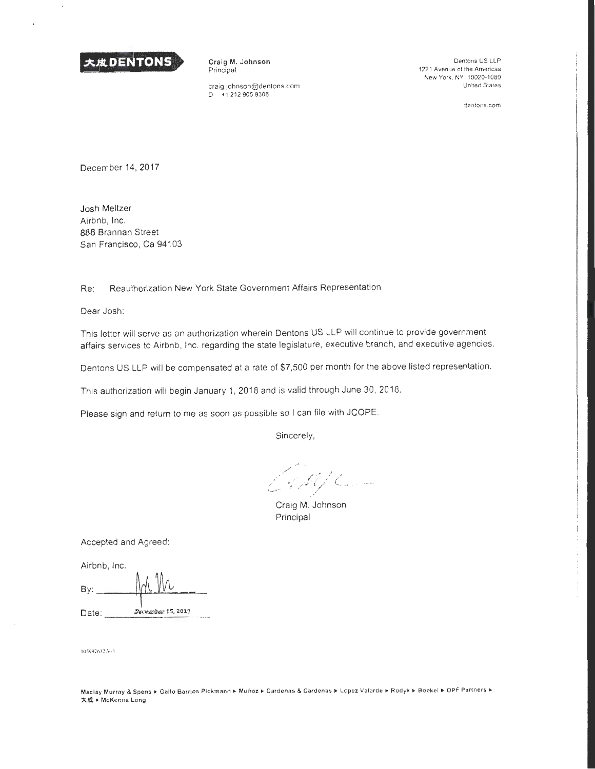

Craig M. Johnson Principal

craig.johnson@dentons.com  $D + 12129058306$ 

Dentons US LLP 1221 Avenue of the Americas New York, NY 10020-1089 United States

dentons.com

December 14, 2017

Josh Meltzer Airbnb, Inc. 888 Brannan Street San Francisco, Ca 94103

Re: Reauthorization New York State Government Affairs Representation

Dear Josh:

This letter will serve as an authorization wherein Dentons US LLP will continue to provide government affairs services to Airbnb, Inc. regarding the state legislature, executive branch, and executive agencies.

Dentons US LLP will be compensated at a rate of \$7,500 per month for the above listed representation.

This authorization will begin January 1, 2018 and is valid through June 30, 2018.

Please sign and return to me as soon as possible so I can file with JCOPE.

Sincerely,

 $\mathcal{L}$  of the following  $\mathcal{L}$ 

Craig M. Johnson Principal

Accepted and Agreed:

Airbnb, Inc.

| By:   |                   |
|-------|-------------------|
| Date: | December 15, 2017 |

105992632.V-1

Maclay Murray & Spens ▶ Gallo Barrios Pickmann ▶ Muñoz ▶ Cardenas & Cardenas ▶ Lopez Velarde ▶ Rodyk ▶ Boekel ▶ OPF Partners ▶ 大成 • McKenna Long